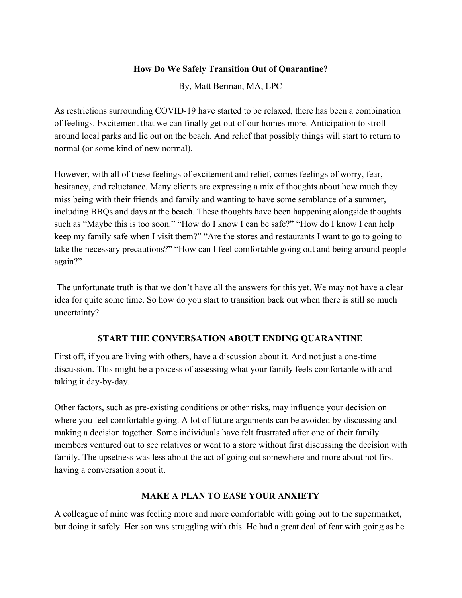### **How Do We Safely Transition Out of Quarantine?**

By, Matt Berman, MA, LPC

As restrictions surrounding COVID-19 have started to be relaxed, there has been a combination of feelings. Excitement that we can finally get out of our homes more. Anticipation to stroll around local parks and lie out on the beach. And relief that possibly things will start to return to normal (or some kind of new normal).

However, with all of these feelings of excitement and relief, comes feelings of worry, fear, hesitancy, and reluctance. Many clients are expressing a mix of thoughts about how much they miss being with their friends and family and wanting to have some semblance of a summer, including BBQs and days at the beach. These thoughts have been happening alongside thoughts such as "Maybe this is too soon." "How do I know I can be safe?" "How do I know I can help keep my family safe when I visit them?" "Are the stores and restaurants I want to go to going to take the necessary precautions?" "How can I feel comfortable going out and being around people again?"

 The unfortunate truth is that we don't have all the answers for this yet. We may not have a clear idea for quite some time. So how do you start to transition back out when there is still so much uncertainty?

# **START THE CONVERSATION ABOUT ENDING QUARANTINE**

First off, if you are living with others, have a discussion about it. And not just a one-time discussion. This might be a process of assessing what your family feels comfortable with and taking it day-by-day.

Other factors, such as pre-existing conditions or other risks, may influence your decision on where you feel comfortable going. A lot of future arguments can be avoided by discussing and making a decision together. Some individuals have felt frustrated after one of their family members ventured out to see relatives or went to a store without first discussing the decision with family. The upsetness was less about the act of going out somewhere and more about not first having a conversation about it.

## **MAKE A PLAN TO EASE YOUR ANXIETY**

A colleague of mine was feeling more and more comfortable with going out to the supermarket, but doing it safely. Her son was struggling with this. He had a great deal of fear with going as he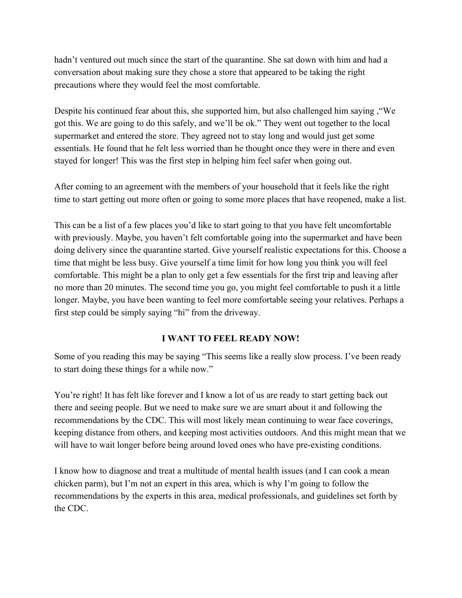hadn't ventured out much since the start of the quarantine. She sat down with him and had a conversation about making sure they chose a store that appeared to be taking the right precautions where they would feel the most comfortable.

Despite his continued fear about this, she supported him, but also challenged him saying ,"We got this. We are going to do this safely, and we'll be ok." They went out together to the local supermarket and entered the store. They agreed not to stay long and would just get some essentials. He found that he felt less worried than he thought once they were in there and even stayed for longer! This was the first step in helping him feel safer when going out.

After coming to an agreement with the members of your household that it feels like the right time to start getting out more often or going to some more places that have reopened, make a list.

This can be a list of a few places you'd like to start going to that you have felt uncomfortable with previously. Maybe, you haven't felt comfortable going into the supermarket and have been doing delivery since the quarantine started. Give yourself realistic expectations for this. Choose a time that might be less busy. Give yourself a time limit for how long you think you will feel comfortable. This might be a plan to only get a few essentials for the first trip and leaving after no more than 20 minutes. The second time you go, you might feel comfortable to push it a little longer. Maybe, you have been wanting to feel more comfortable seeing your relatives. Perhaps a first step could be simply saying "hi" from the driveway.

## **I WANT TO FEEL READY NOW!**

Some of you reading this may be saying "This seems like a really slow process. I've been ready to start doing these things for a while now."

You're right! It has felt like forever and I know a lot of us are ready to start getting back out there and seeing people. But we need to make sure we are smart about it and following the recommendations by the CDC. This will most likely mean continuing to wear face coverings, keeping distance from others, and keeping most activities outdoors. And this might mean that we will have to wait longer before being around loved ones who have pre-existing conditions.

I know how to diagnose and treat a multitude of mental health issues (and I can cook a mean chicken parm), but I'm not an expert in this area, which is why I'm going to follow the recommendations by the experts in this area, medical professionals, and guidelines set forth by the CDC.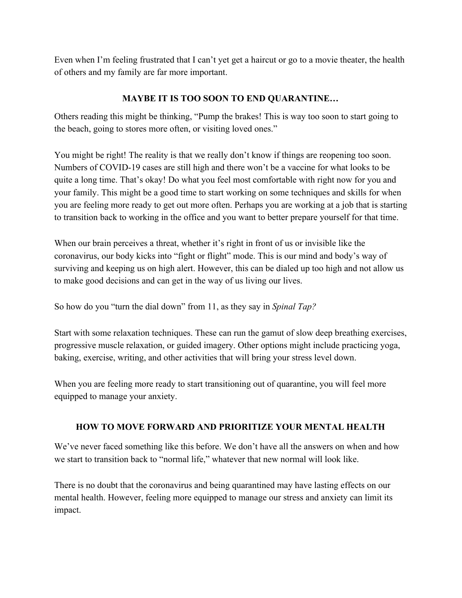Even when I'm feeling frustrated that I can't yet get a haircut or go to a movie theater, the health of others and my family are far more important.

## **MAYBE IT IS TOO SOON TO END QUARANTINE…**

Others reading this might be thinking, "Pump the brakes! This is way too soon to start going to the beach, going to stores more often, or visiting loved ones."

You might be right! The reality is that we really don't know if things are reopening too soon. Numbers of COVID-19 cases are still high and there won't be a vaccine for what looks to be quite a long time. That's okay! Do what you feel most comfortable with right now for you and your family. This might be a good time to start working on some techniques and skills for when you are feeling more ready to get out more often. Perhaps you are working at a job that is starting to transition back to working in the office and you want to better prepare yourself for that time.

When our brain perceives a threat, whether it's right in front of us or invisible like the coronavirus, our body kicks into "fight or flight" mode. This is our mind and body's way of surviving and keeping us on high alert. However, this can be dialed up too high and not allow us to make good decisions and can get in the way of us living our lives.

So how do you "turn the dial down" from 11, as they say in *Spinal Tap?*

Start with some relaxation techniques. These can run the gamut of slow deep breathing exercises, progressive muscle relaxation, or guided imagery. Other options might include practicing yoga, baking, exercise, writing, and other activities that will bring your stress level down.

When you are feeling more ready to start transitioning out of quarantine, you will feel more equipped to manage your anxiety.

# **HOW TO MOVE FORWARD AND PRIORITIZE YOUR MENTAL HEALTH**

We've never faced something like this before. We don't have all the answers on when and how we start to transition back to "normal life," whatever that new normal will look like.

There is no doubt that the coronavirus and being quarantined may have lasting effects on our mental health. However, feeling more equipped to manage our stress and anxiety can limit its impact.